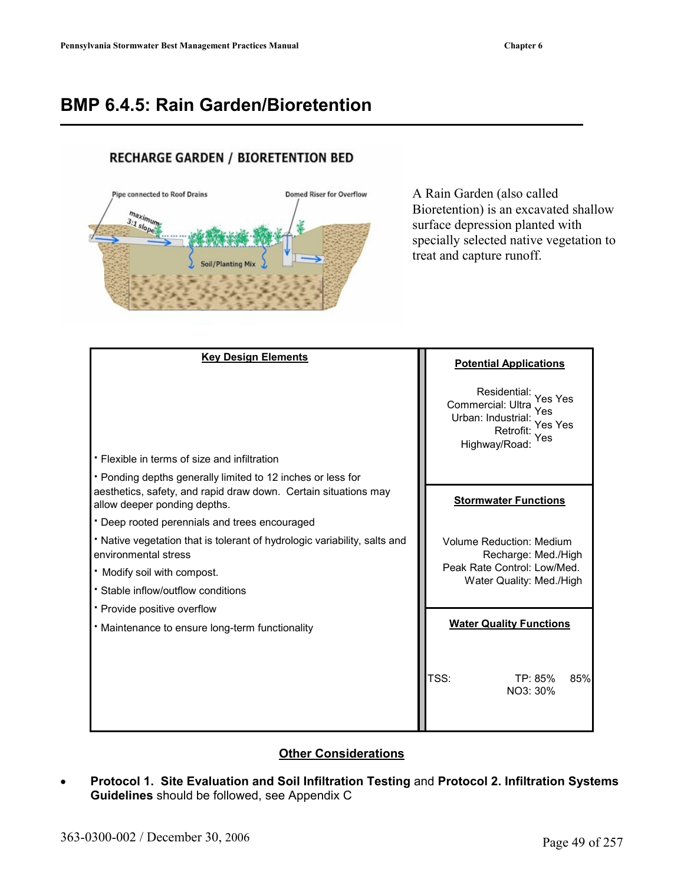# **BMP 6.4.5: Rain Garden/Bioretention**

#### **RECHARGE GARDEN / BIORETENTION BED**



A Rain Garden (also called Bioretention) is an excavated shallow surface depression planted with specially selected native vegetation to treat and capture runoff.

| <b>Key Design Elements</b>                                                                                                                                     | <b>Potential Applications</b>                                                                                       |
|----------------------------------------------------------------------------------------------------------------------------------------------------------------|---------------------------------------------------------------------------------------------------------------------|
|                                                                                                                                                                | Residential: Yes Yes<br>Commercial: Ultra<br>Yes<br>Urban: Industrial: Yes Yes<br>Retrofit:<br>Yes<br>Highway/Road: |
| • Flexible in terms of size and infiltration                                                                                                                   |                                                                                                                     |
| • Ponding depths generally limited to 12 inches or less for<br>aesthetics, safety, and rapid draw down. Certain situations may<br>allow deeper ponding depths. | <b>Stormwater Functions</b>                                                                                         |
| • Deep rooted perennials and trees encouraged                                                                                                                  |                                                                                                                     |
| • Native vegetation that is tolerant of hydrologic variability, salts and<br>environmental stress                                                              | <b>Volume Reduction: Medium</b><br>Recharge: Med./High                                                              |
| . Modify soil with compost.                                                                                                                                    | Peak Rate Control: Low/Med.                                                                                         |
| • Stable inflow/outflow conditions                                                                                                                             | Water Quality: Med./High                                                                                            |
| • Provide positive overflow                                                                                                                                    |                                                                                                                     |
| • Maintenance to ensure long-term functionality                                                                                                                | <b>Water Quality Functions</b>                                                                                      |
|                                                                                                                                                                | TSS:<br>TP: 85%<br>85%<br>NO3: 30%                                                                                  |

#### **Other Considerations**

• **Protocol 1. Site Evaluation and Soil Infiltration Testing** and **Protocol 2. Infiltration Systems Guidelines** should be followed, see Appendix C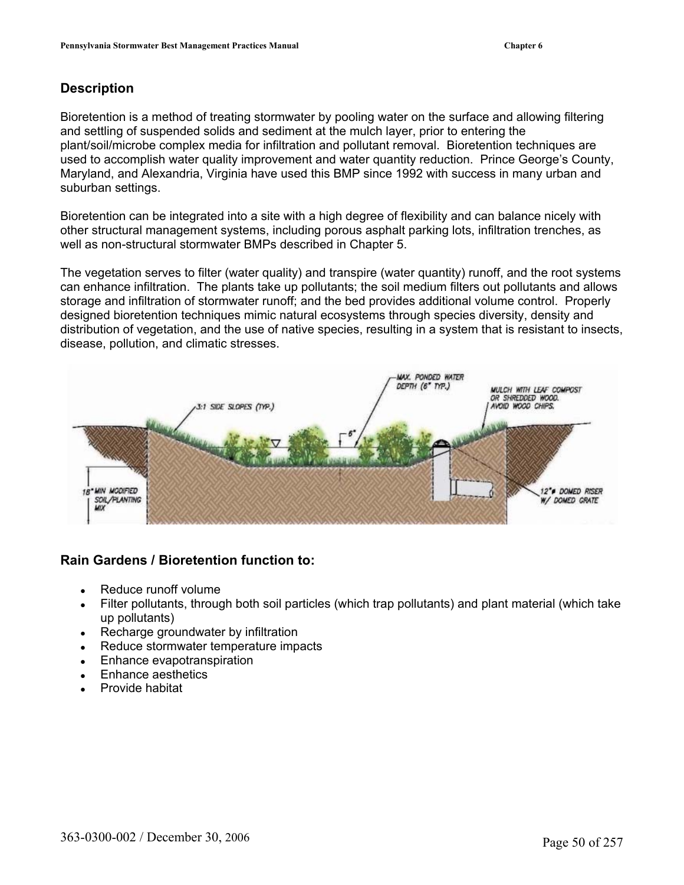#### **Description**

Bioretention is a method of treating stormwater by pooling water on the surface and allowing filtering and settling of suspended solids and sediment at the mulch layer, prior to entering the plant/soil/microbe complex media for infiltration and pollutant removal. Bioretention techniques are used to accomplish water quality improvement and water quantity reduction. Prince George's County, Maryland, and Alexandria, Virginia have used this BMP since 1992 with success in many urban and suburban settings.

Bioretention can be integrated into a site with a high degree of flexibility and can balance nicely with other structural management systems, including porous asphalt parking lots, infiltration trenches, as well as non-structural stormwater BMPs described in Chapter 5.

The vegetation serves to filter (water quality) and transpire (water quantity) runoff, and the root systems can enhance infiltration. The plants take up pollutants; the soil medium filters out pollutants and allows storage and infiltration of stormwater runoff; and the bed provides additional volume control. Properly designed bioretention techniques mimic natural ecosystems through species diversity, density and distribution of vegetation, and the use of native species, resulting in a system that is resistant to insects, disease, pollution, and climatic stresses.



#### **Rain Gardens / Bioretention function to:**

- Reduce runoff volume
- Filter pollutants, through both soil particles (which trap pollutants) and plant material (which take up pollutants)
- Recharge groundwater by infiltration
- Reduce stormwater temperature impacts
- Enhance evapotranspiration
- Enhance aesthetics
- Provide habitat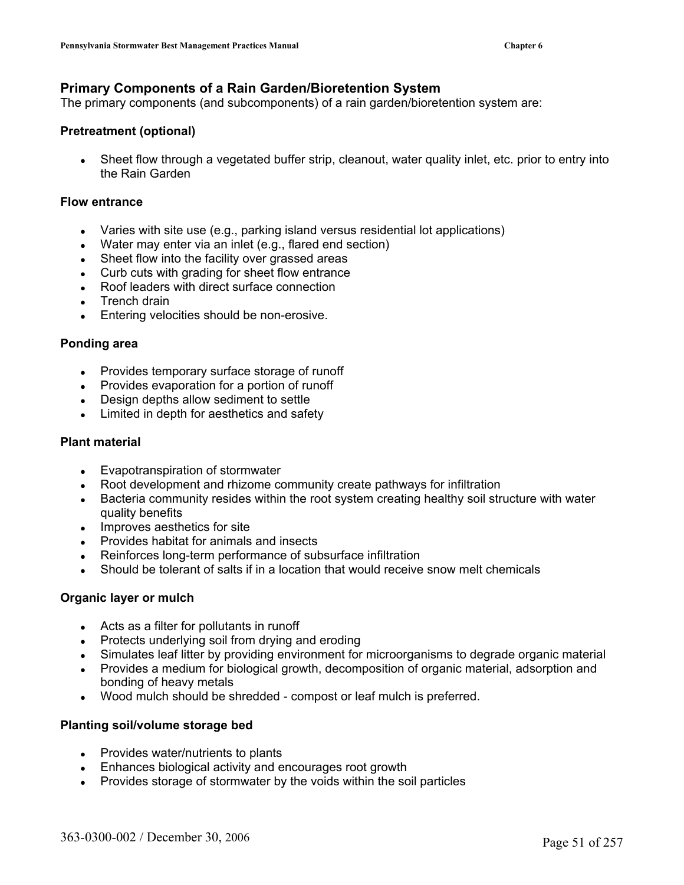#### **Primary Components of a Rain Garden/Bioretention System**

The primary components (and subcomponents) of a rain garden/bioretention system are:

#### **Pretreatment (optional)**

Sheet flow through a vegetated buffer strip, cleanout, water quality inlet, etc. prior to entry into the Rain Garden

#### **Flow entrance**

- Varies with site use (e.g., parking island versus residential lot applications)
- $\bullet$  Water may enter via an inlet (e.g., flared end section)
- Sheet flow into the facility over grassed areas
- Curb cuts with grading for sheet flow entrance
- Roof leaders with direct surface connection
- Trench drain
- Entering velocities should be non-erosive.

#### **Ponding area**

- Provides temporary surface storage of runoff
- Provides evaporation for a portion of runoff
- Design depths allow sediment to settle
- Limited in depth for aesthetics and safety

#### **Plant material**

- Evapotranspiration of stormwater
- Root development and rhizome community create pathways for infiltration
- Bacteria community resides within the root system creating healthy soil structure with water quality benefits
- Improves aesthetics for site
- **Provides habitat for animals and insects**
- Reinforces long-term performance of subsurface infiltration
- Should be tolerant of salts if in a location that would receive snow melt chemicals

#### **Organic layer or mulch**

- Acts as a filter for pollutants in runoff
- $\bullet$  Protects underlying soil from drying and eroding
- Simulates leaf litter by providing environment for microorganisms to degrade organic material
- Provides a medium for biological growth, decomposition of organic material, adsorption and bonding of heavy metals
- Wood mulch should be shredded compost or leaf mulch is preferred.

#### **Planting soil/volume storage bed**

- $\bullet$  Provides water/nutrients to plants
- Enhances biological activity and encourages root growth
- Provides storage of stormwater by the voids within the soil particles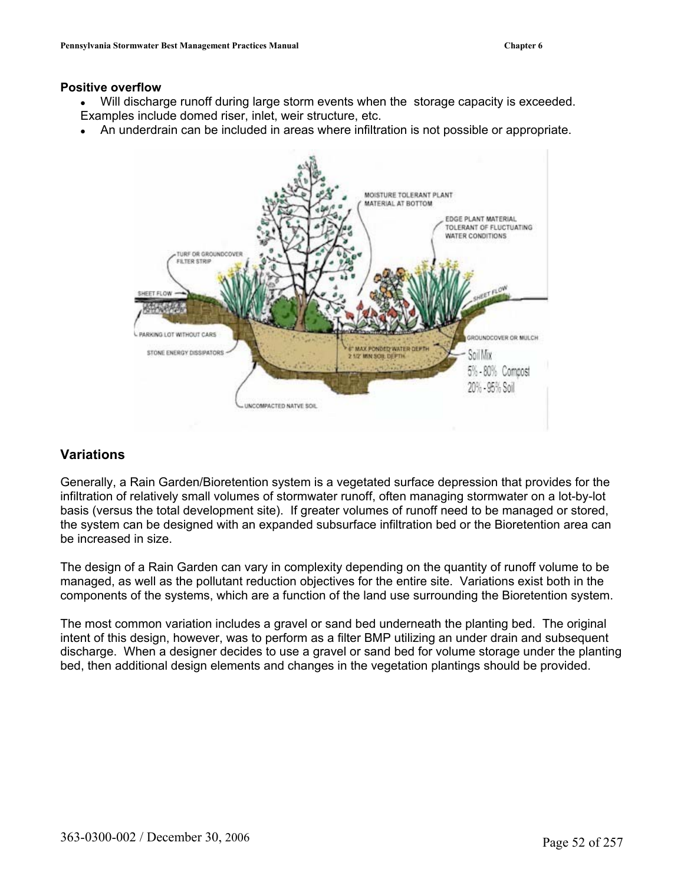#### **Positive overflow**

- Will discharge runoff during large storm events when the storage capacity is exceeded. Examples include domed riser, inlet, weir structure, etc.
- An underdrain can be included in areas where infiltration is not possible or appropriate.



#### **Variations**

Generally, a Rain Garden/Bioretention system is a vegetated surface depression that provides for the infiltration of relatively small volumes of stormwater runoff, often managing stormwater on a lot-by-lot basis (versus the total development site). If greater volumes of runoff need to be managed or stored, the system can be designed with an expanded subsurface infiltration bed or the Bioretention area can be increased in size.

The design of a Rain Garden can vary in complexity depending on the quantity of runoff volume to be managed, as well as the pollutant reduction objectives for the entire site. Variations exist both in the components of the systems, which are a function of the land use surrounding the Bioretention system.

The most common variation includes a gravel or sand bed underneath the planting bed. The original intent of this design, however, was to perform as a filter BMP utilizing an under drain and subsequent discharge. When a designer decides to use a gravel or sand bed for volume storage under the planting bed, then additional design elements and changes in the vegetation plantings should be provided.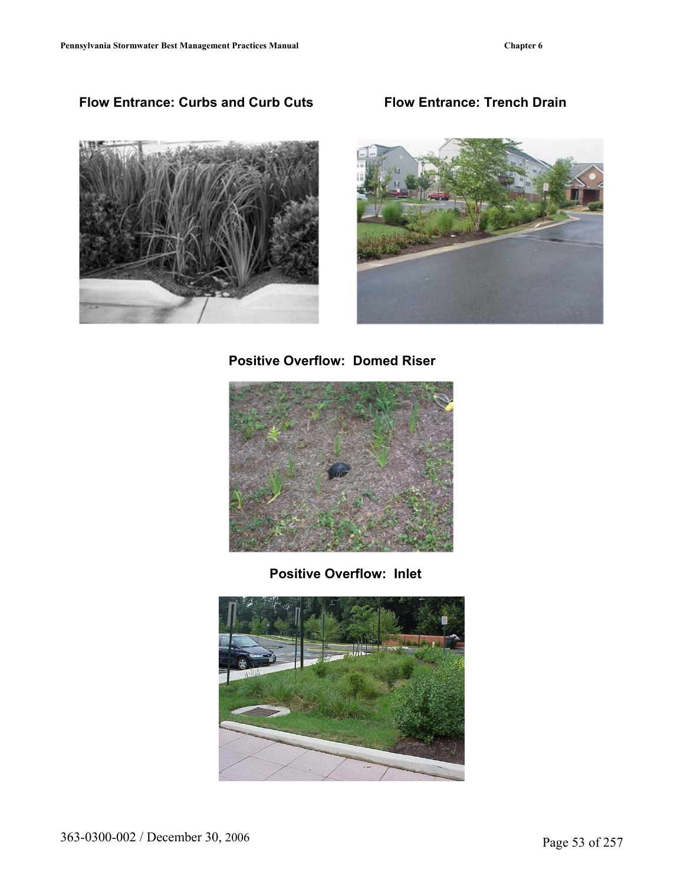## **Flow Entrance: Curbs and Curb Cuts Flow Entrance: Trench Drain**





 **Positive Overflow: Domed Riser** 



**Positive Overflow: Inlet** 

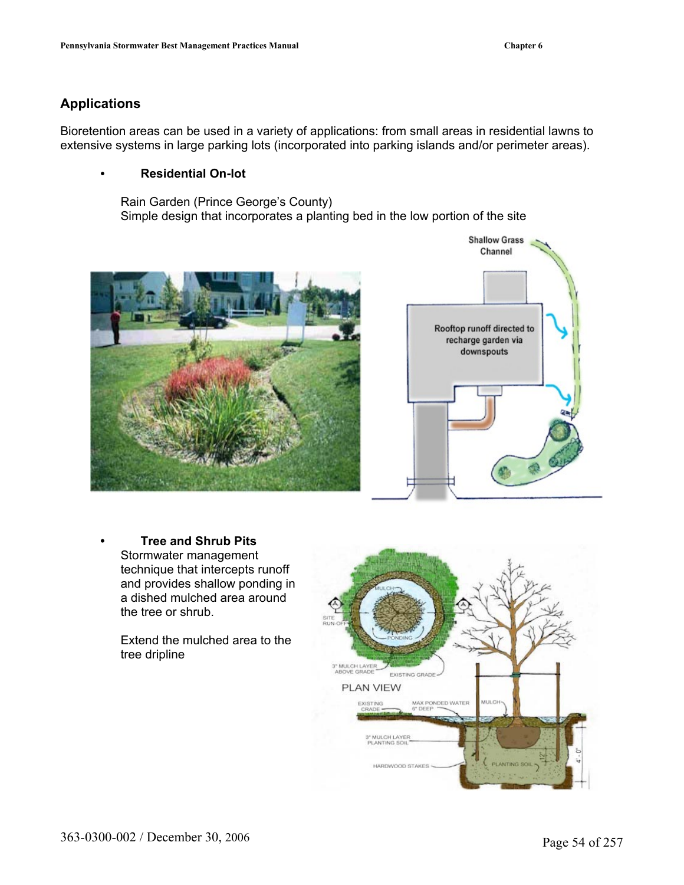### **Applications**

Bioretention areas can be used in a variety of applications: from small areas in residential lawns to extensive systems in large parking lots (incorporated into parking islands and/or perimeter areas).

#### **• Residential On-lot**

Rain Garden (Prince George's County) Simple design that incorporates a planting bed in the low portion of the site





**• Tree and Shrub Pits**  Stormwater management technique that intercepts runoff and provides shallow ponding in a dished mulched area around the tree or shrub.

Extend the mulched area to the tree dripline

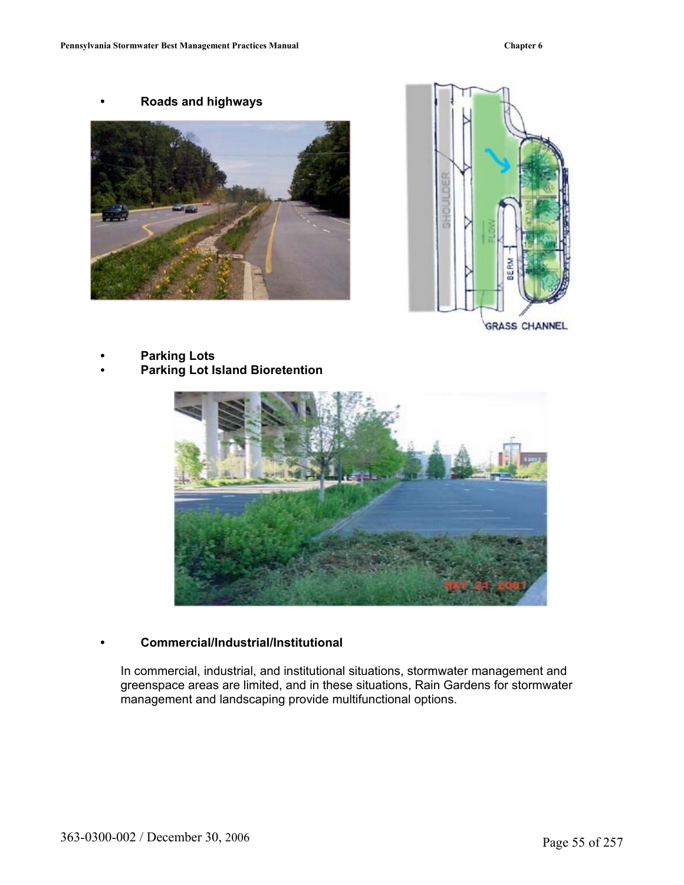**• Roads and highways**





**GRASS CHANNEL** 

**• Parking Lots • Parking Lot Island Bioretention** 



#### **Commercial/Industrial/Institutional •**

In commercial, industrial, and institutional situations, stormwater management and greenspace areas are limited, and in these situations, Rain Gardens for stormwater management and landscaping provide multifunctional options.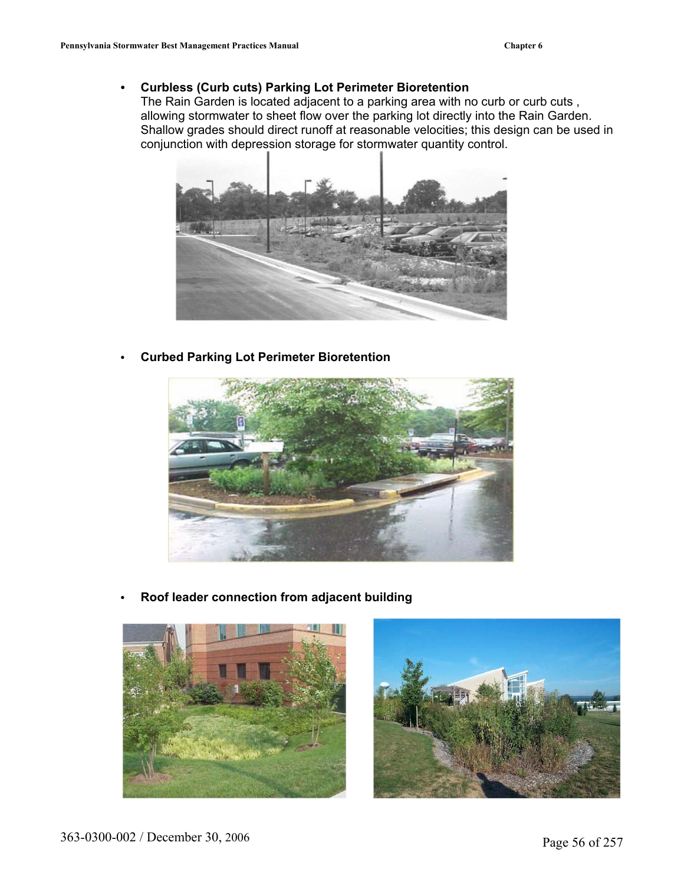#### **• Curbless (Curb cuts) Parking Lot Perimeter Bioretention**

The Rain Garden is located adjacent to a parking area with no curb or curb cuts , allowing stormwater to sheet flow over the parking lot directly into the Rain Garden. Shallow grades should direct runoff at reasonable velocities; this design can be used in conjunction with depression storage for stormwater quantity control.



**• Curbed Parking Lot Perimeter Bioretention** 



**• Roof leader connection from adjacent building** 



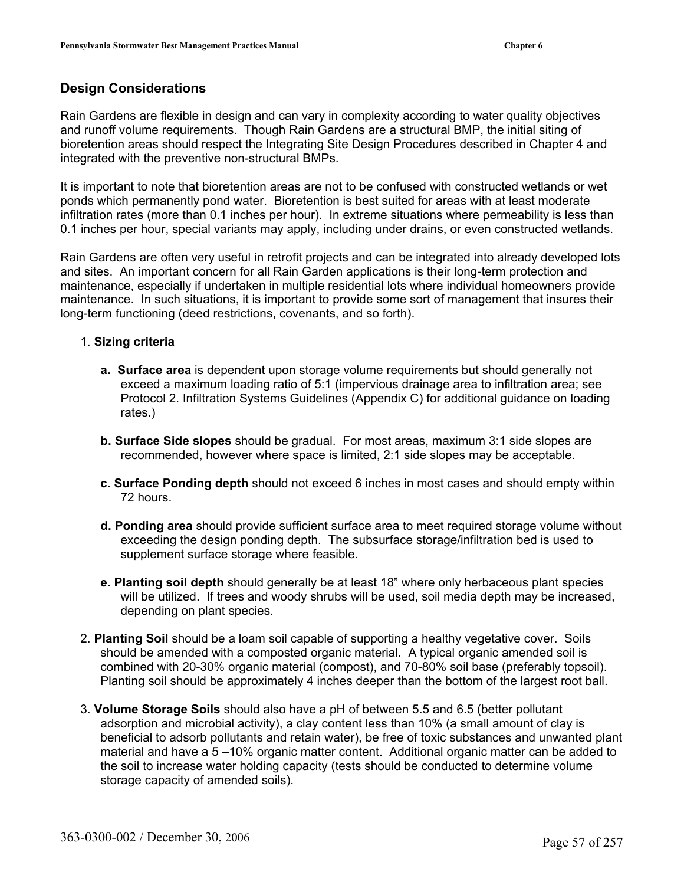#### **Design Considerations**

Rain Gardens are flexible in design and can vary in complexity according to water quality objectives and runoff volume requirements. Though Rain Gardens are a structural BMP, the initial siting of bioretention areas should respect the Integrating Site Design Procedures described in Chapter 4 and integrated with the preventive non-structural BMPs.

It is important to note that bioretention areas are not to be confused with constructed wetlands or wet ponds which permanently pond water. Bioretention is best suited for areas with at least moderate infiltration rates (more than 0.1 inches per hour). In extreme situations where permeability is less than 0.1 inches per hour, special variants may apply, including under drains, or even constructed wetlands.

Rain Gardens are often very useful in retrofit projects and can be integrated into already developed lots and sites. An important concern for all Rain Garden applications is their long-term protection and maintenance, especially if undertaken in multiple residential lots where individual homeowners provide maintenance. In such situations, it is important to provide some sort of management that insures their long-term functioning (deed restrictions, covenants, and so forth).

- 1. **Sizing criteria** 
	- **a. Surface area** is dependent upon storage volume requirements but should generally not exceed a maximum loading ratio of 5:1 (impervious drainage area to infiltration area; see Protocol 2. Infiltration Systems Guidelines (Appendix C) for additional guidance on loading rates.)
	- **b. Surface Side slopes** should be gradual. For most areas, maximum 3:1 side slopes are recommended, however where space is limited, 2:1 side slopes may be acceptable.
	- **c. Surface Ponding depth** should not exceed 6 inches in most cases and should empty within 72 hours.
	- **d. Ponding area** should provide sufficient surface area to meet required storage volume without exceeding the design ponding depth. The subsurface storage/infiltration bed is used to supplement surface storage where feasible.
	- **e. Planting soil depth** should generally be at least 18" where only herbaceous plant species will be utilized. If trees and woody shrubs will be used, soil media depth may be increased, depending on plant species.
- combined with 20-30% organic material (compost), and 70-80% soil base (preferably topsoil). 2. **Planting Soil** should be a loam soil capable of supporting a healthy vegetative cover. Soils should be amended with a composted organic material. A typical organic amended soil is Planting soil should be approximately 4 inches deeper than the bottom of the largest root ball.
- beneficial to adsorb pollutants and retain water), be free of toxic substances and unwanted plant material and have a 5 –10% organic matter content. Additional organic matter can be added to the soil to increase water holding capacity (tests should be conducted to determine volume storage capacity of amended soils). 3. **Volume Storage Soils** should also have a pH of between 5.5 and 6.5 (better pollutant adsorption and microbial activity), a clay content less than 10% (a small amount of clay is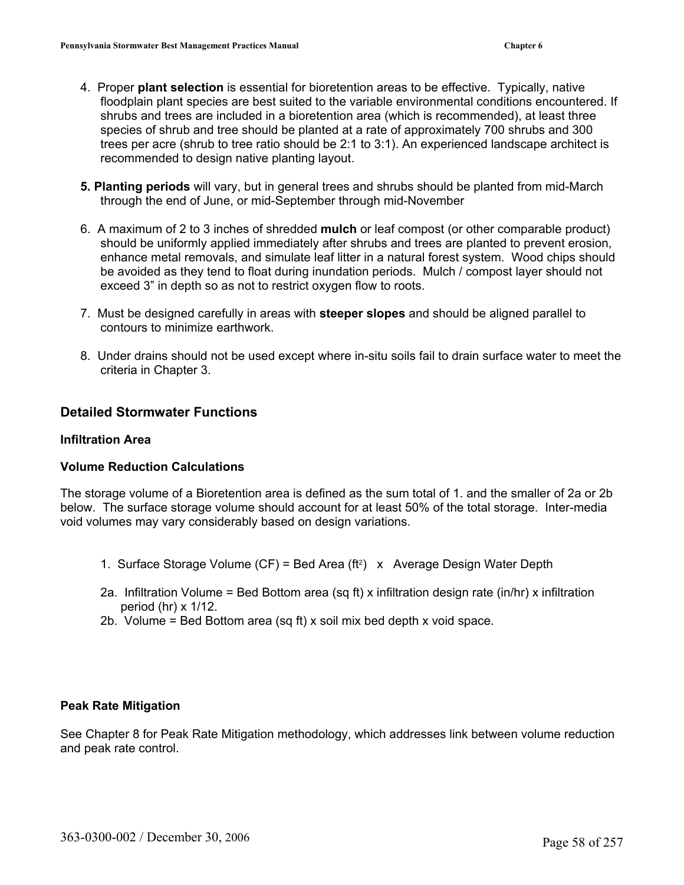- 4. Proper **plant selection** is essential for bioretention areas to be effective. Typically, native floodplain plant species are best suited to the variable environmental conditions encountered. If shr ubs and trees are included in a bioretention area (which is recommended), at least three species of shrub and tree should be planted at a rate of approximately 700 shrubs and 300 trees per acre (shrub to tree ratio should be 2:1 to 3:1). An experienced landscape architect is recommended to design native planting layout.
- **5. Planting periods** will vary, but in general trees and shrubs should be planted from mid-March through the end of June, or mid-September through mid-November
- 6. A maximum of 2 to 3 inches of shredded **mulch** or leaf compost (or other comparable product) enhance metal removals, and simulate leaf litter in a natural forest system. Wood chips should be avoided as they tend to float during inundation periods. Mulch / compost layer should not exceed 3" in depth so as not to restrict oxygen flow to roots. should be uniformly applied immediately after shrubs and trees are planted to prevent erosion,
- 7. Mus t be designed carefully in areas with **steeper slopes** and should be aligned parallel to con tours to minimize earthwork.
- 8. Under drains should not be used except where in-situ soils fail to drain surface water to meet the criteria in Chapter 3.

#### **Detailed Stormwater Functions**

#### **Infiltra tion Area**

#### **Volum e Reduction Calculations**

The storage volume of a Bioretention area is defined as the sum total of 1. and the smaller of 2a or 2b below. The surface storage volume should account for at least 50% of the total storage. Inter-media void volumes may vary considerably based on design variations.

- 1. Surface Storage Volume (CF) = Bed Area (ft<sup>2</sup>)  $\times$  Average Design Water Depth
- 2a. Infiltration Volume = Bed Bottom area (sq ft) x infiltration design rate (in/hr) x infiltration period (hr)  $\times$  1/12.
- 2b. Volume = Bed Bottom area (sq ft) x soil mix bed depth x void space.

#### **Peak R ate Mitigation**

See Chapter 8 for Peak Rate Mitigation methodology, which addresses link between volume reduction and peak rate control.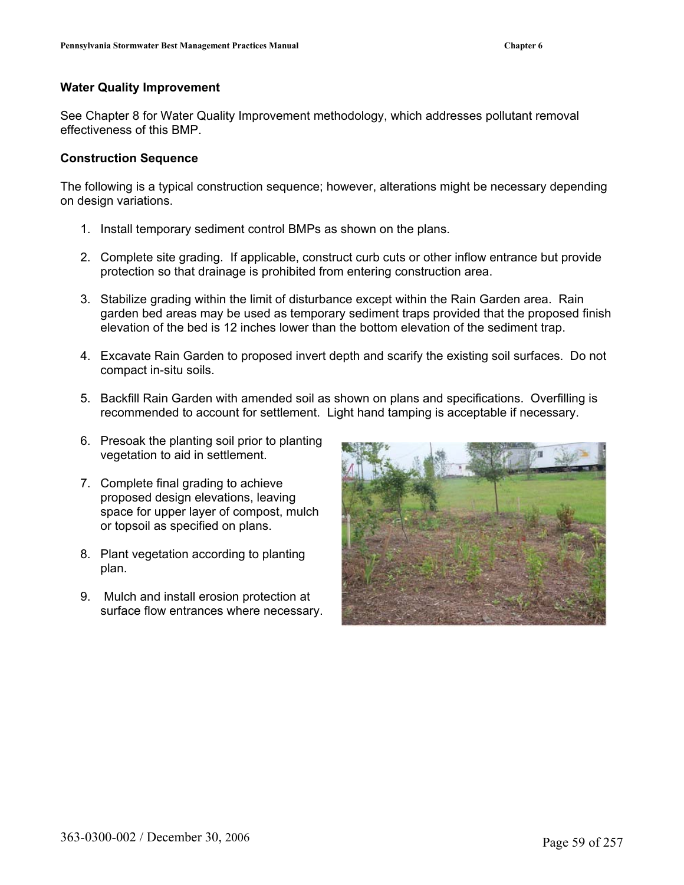#### **Water Quality Improvement**

See Chapter 8 for Water Quality Improvement methodology, which addresses pollutant removal effectiveness of this BMP.

#### **Construction Sequence**

The following is a typical construction sequence; however, alterations might be necessary depending on design variations.

- 1. Install temporary sediment control BMPs as shown on the plans.
- 2. Complete site grading. If applicable, construct curb cuts or other inflow entrance but provide protection so that drainage is prohibited from entering construction area.
- 3. Stabilize grading within the limit of disturbance except within the Rain Garden area. Rain garden bed areas may be used as temporary sediment traps provided that the proposed finish elevation of the bed is 12 inches lower than the bottom elevation of the sediment trap.
- 4. Excavate Rain Garden to proposed invert depth and scarify the existing soil surfaces. Do not compact in-situ soils.
- 5. Backfill Rain Garden with amended soil as shown on plans and specifications. Overfilling is recommended to account for settlement. Light hand tamping is acceptable if necessary.
- 6. Presoak the planting soil prior to planting vegetation to aid in settlement.
- 7. Complete final grading to achieve proposed design elevations, leaving space for upper layer of compost, mulch or topsoil as specified on plans.
- 8. Plant vegetation according to planting plan.
- 9. Mulch and install erosion protection at surface flow entrances where necessary.

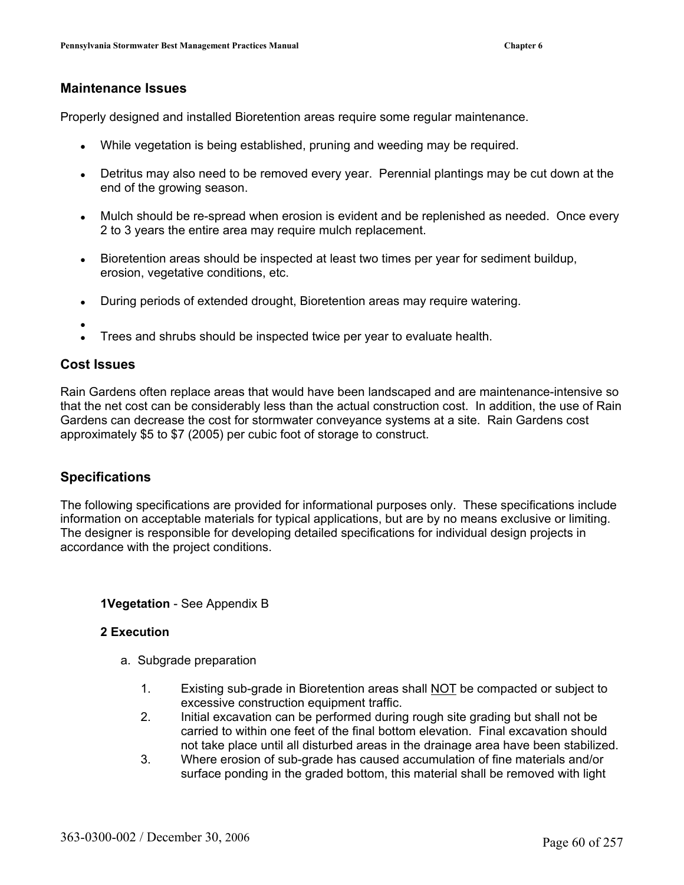#### **Ma intenance Issues**

Properly designed and installed Bioretention areas require some regular maintenance.

- $\bullet$ While vegetation is being established, pruning and weeding may be required.
- Detritus may also need to be removed every year. Perennial plantings may be cut down at the end of the growing season.
- Mulch should be re-spread when erosion is evident and be replenished as needed. Once every 2 to 3 years the entire area may require mulch replacement.
- Bioretention areas should be inspected at least two times per year for sediment buildup, erosion, vegetative conditions, etc.
- During periods of extended drought, Bioretention areas may require watering.
- $\bullet$
- Trees and shrubs should be inspected twice per year to evaluate health.

#### **o Issues C st**

Rain Gardens often replace areas that would have been landscaped and are maintenance-intensive so that the net cost can be considerably less than the actual construction cost. In addition, the use of Rain Gardens can decrease the cost for stormwater conveyance systems at a site. Rain Gardens cost approximately \$5 to \$7 (2005) per cubic foot of storage to construct.

#### **Specifications**

The following specifications are provided for informational purposes only. These specifications include information on acceptable materials for typical applications, but are by no means exclusive or limiting. The designer is responsible for developing detailed specifications for individual design projects in accordance with the project conditions.

#### **1Vegetation** - See Appendix B

#### **2 Execution**

- a. Subgrade preparation
	- 1. Existing sub-grade in Bioretention areas shall **NOT** be compacted or subject to excessive construction equipment traffic.
	- 2. Initial excavation can be performed during rough site grading but shall not be carried to within one feet of the final bottom elevation. Final excavation should not take place until all disturbed areas in the drainage area have been stabilized.
	- 3. Where erosion of sub-grade has caused accumulation of fine materials and/or surface ponding in the graded bottom, this material shall be removed with light